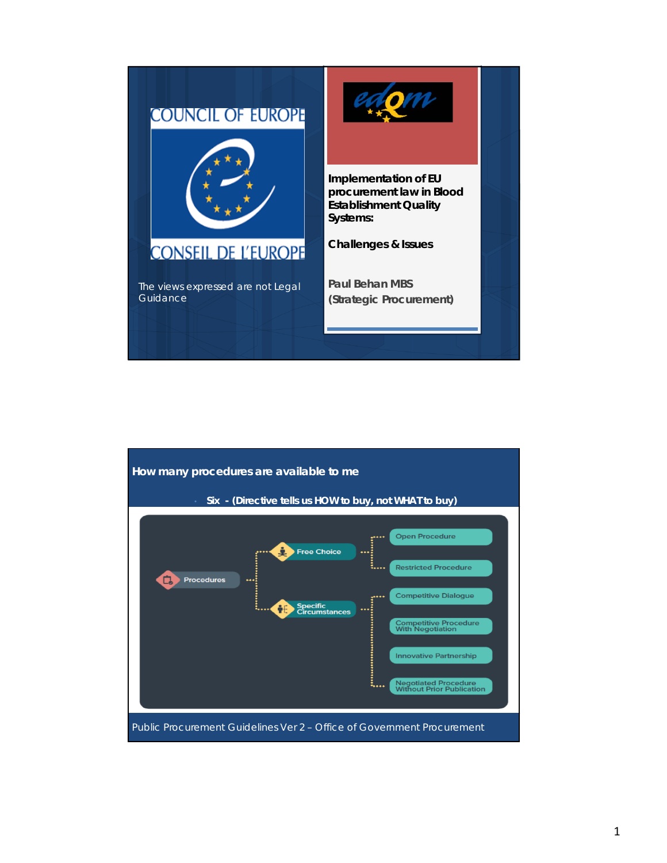

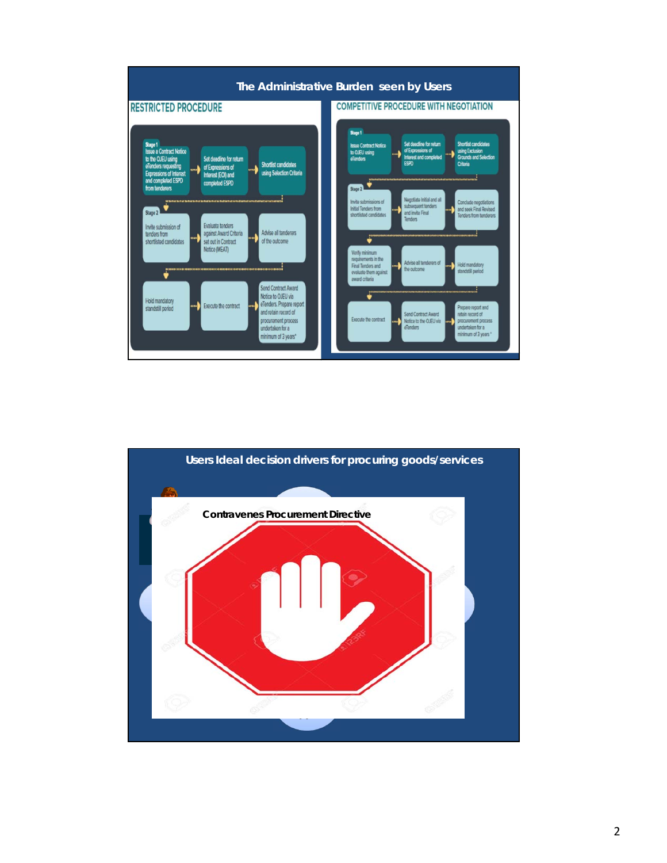

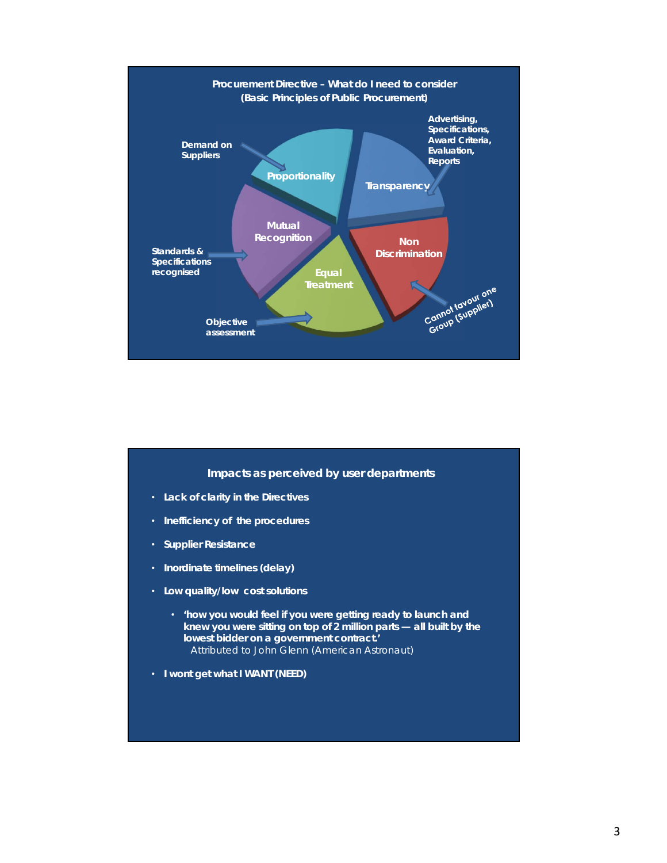

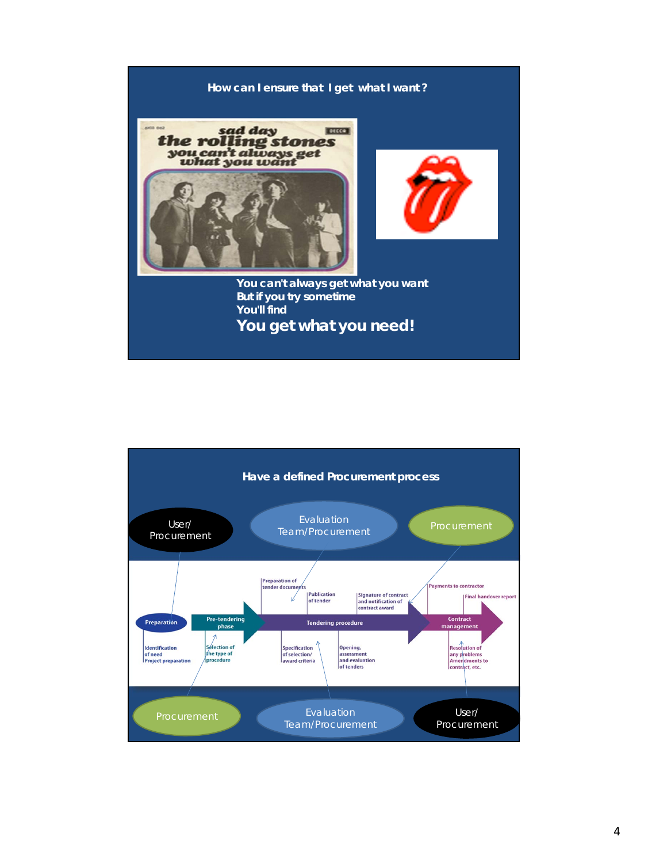

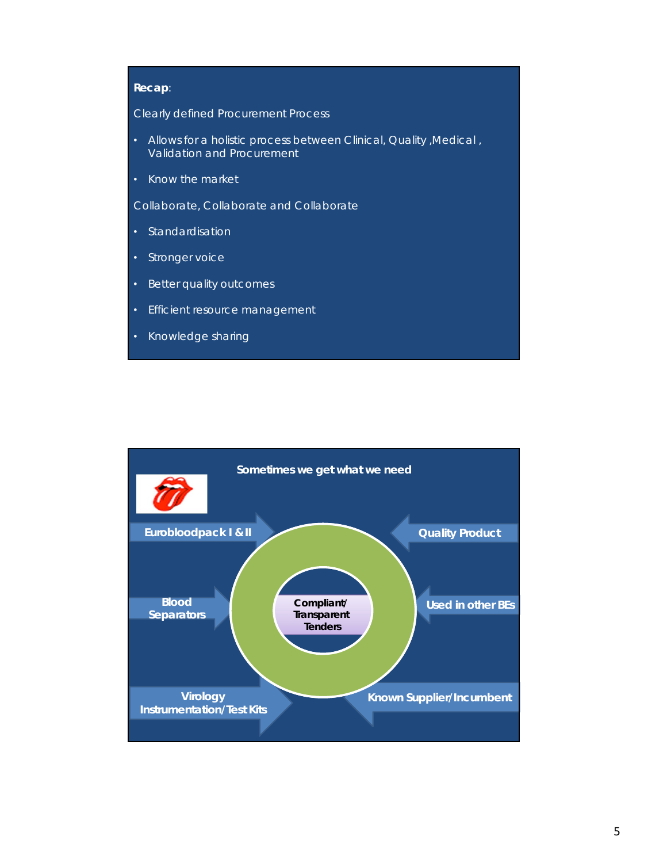## **Recap**:

Clearly defined Procurement Process

- Allows for a holistic process between Clinical, Quality ,Medical , Validation and Procurement
- Know the market
- Collaborate, Collaborate and Collaborate
- Standardisation
- Stronger voice
- Better quality outcomes
- Efficient resource management
- Knowledge sharing